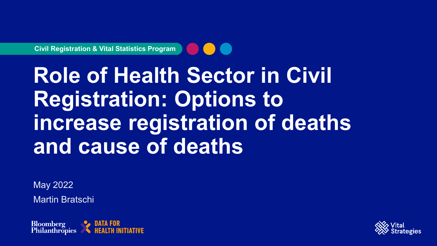**Civil Registration & Vital Statistics Program**

# **Role of Health Sector in Civil Registration: Options to increase registration of deaths and cause of deaths**

May 2022 Martin Bratschi



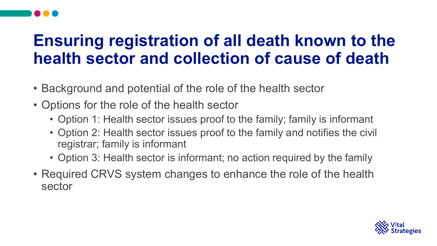### **Ensuring registration of all death known to the health sector and collection of cause of death**

- Background and potential of the role of the health sector
- Options for the role of the health sector
	- Option 1: Health sector issues proof to the family; family is informant
	- Option 2: Health sector issues proof to the family and notifies the civil registrar; family is informant
	- Option 3: Health sector is informant; no action required by the family
- Required CRVS system changes to enhance the role of the health sector

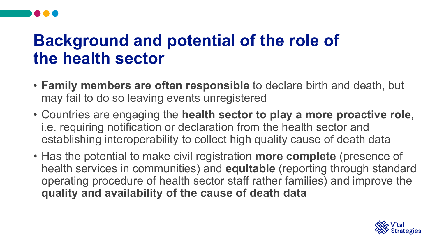### **Background and potential of the role of the health sector**

- **Family members are often responsible** to declare birth and death, but may fail to do so leaving events unregistered
- Countries are engaging the **health sector to play a more proactive role**, i.e. requiring notification or declaration from the health sector and establishing interoperability to collect high quality cause of death data
- Has the potential to make civil registration **more complete** (presence of health services in communities) and **equitable** (reporting through standard operating procedure of health sector staff rather families) and improve the **quality and availability of the cause of death data**

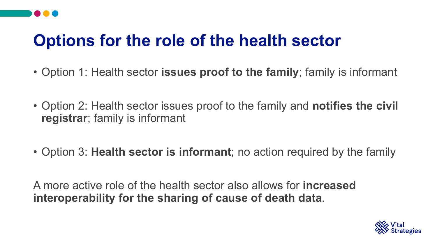# **Options for the role of the health sector**

- Option 1: Health sector **issues proof to the family**; family is informant
- Option 2: Health sector issues proof to the family and **notifies the civil registrar**; family is informant
- Option 3: **Health sector is informant**; no action required by the family

A more active role of the health sector also allows for **increased interoperability for the sharing of cause of death data**.

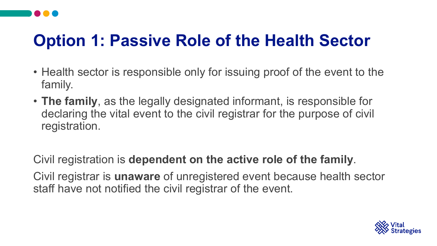# **Option 1: Passive Role of the Health Sector**

- Health sector is responsible only for issuing proof of the event to the family.
- **The family**, as the legally designated informant, is responsible for declaring the vital event to the civil registrar for the purpose of civil registration.

Civil registration is **dependent on the active role of the family**. Civil registrar is **unaware** of unregistered event because health sector staff have not notified the civil registrar of the event.

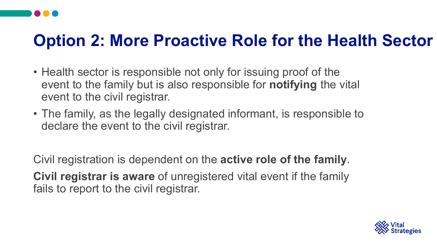# **Option 2: More Proactive Role for the Health Sector**

- Health sector is responsible not only for issuing proof of the event to the family but is also responsible for **notifying** the vital event to the civil registrar.
- The family, as the legally designated informant, is responsible to declare the event to the civil registrar.

Civil registration is dependent on the **active role of the family**. **Civil registrar is aware** of unregistered vital event if the family fails to report to the civil registrar.

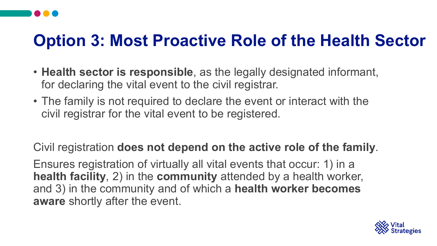# **Option 3: Most Proactive Role of the Health Sector**

- **Health sector is responsible**, as the legally designated informant, for declaring the vital event to the civil registrar.
- The family is not required to declare the event or interact with the civil registrar for the vital event to be registered.

Civil registration **does not depend on the active role of the family**.

Ensures registration of virtually all vital events that occur: 1) in a **health facility**, 2) in the **community** attended by a health worker, and 3) in the community and of which a **health worker becomes aware** shortly after the event.

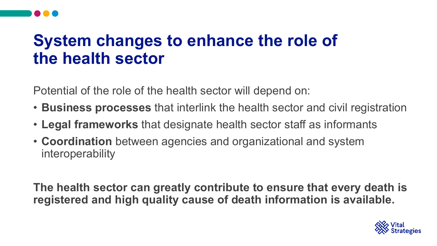### **System changes to enhance the role of the health sector**

Potential of the role of the health sector will depend on:

- **Business processes** that interlink the health sector and civil registration
- **Legal frameworks** that designate health sector staff as informants
- **Coordination** between agencies and organizational and system interoperability

**The health sector can greatly contribute to ensure that every death is registered and high quality cause of death information is available.**